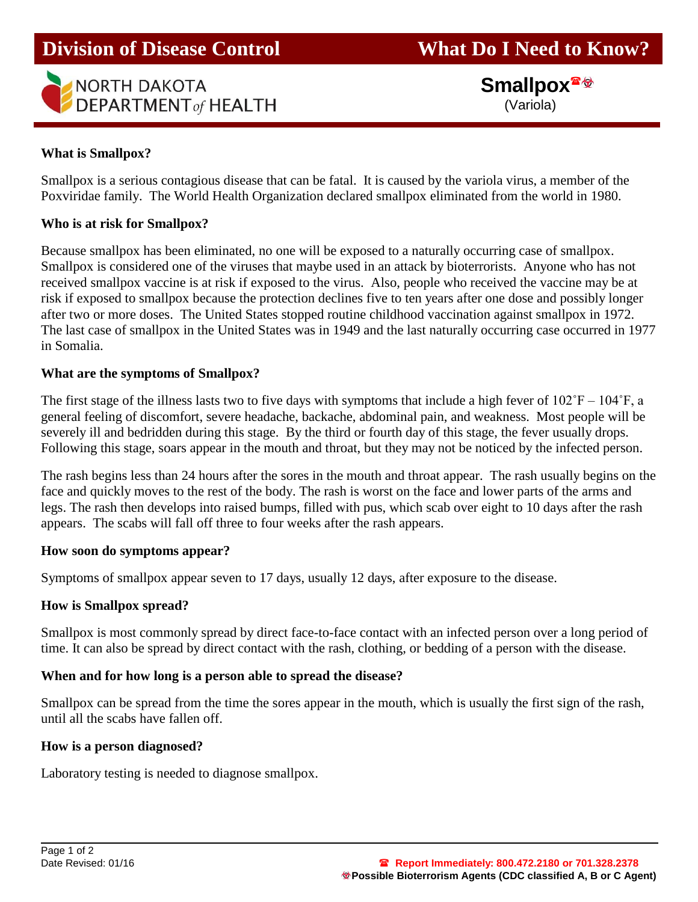

 **Smallpox** (Variola)

## **What is Smallpox?**

Ī

Smallpox is a serious contagious disease that can be fatal. It is caused by the variola virus, a member of the Poxviridae family. The World Health Organization declared smallpox eliminated from the world in 1980.

### **Who is at risk for Smallpox?**

Because smallpox has been eliminated, no one will be exposed to a naturally occurring case of smallpox. Smallpox is considered one of the viruses that maybe used in an attack by bioterrorists. Anyone who has not received smallpox vaccine is at risk if exposed to the virus. Also, people who received the vaccine may be at risk if exposed to smallpox because the protection declines five to ten years after one dose and possibly longer after two or more doses. The United States stopped routine childhood vaccination against smallpox in 1972. The last case of smallpox in the United States was in 1949 and the last naturally occurring case occurred in 1977 in Somalia.

### **What are the symptoms of Smallpox?**

The first stage of the illness lasts two to five days with symptoms that include a high fever of  $102\degree F - 104\degree F$ , a general feeling of discomfort, severe headache, backache, abdominal pain, and weakness. Most people will be severely ill and bedridden during this stage. By the third or fourth day of this stage, the fever usually drops. Following this stage, soars appear in the mouth and throat, but they may not be noticed by the infected person.

The rash begins less than 24 hours after the sores in the mouth and throat appear. The rash usually begins on the face and quickly moves to the rest of the body. The rash is worst on the face and lower parts of the arms and legs. The rash then develops into raised bumps, filled with pus, which scab over eight to 10 days after the rash appears. The scabs will fall off three to four weeks after the rash appears.

#### **How soon do symptoms appear?**

Symptoms of smallpox appear seven to 17 days, usually 12 days, after exposure to the disease.

#### **How is Smallpox spread?**

Smallpox is most commonly spread by direct face-to-face contact with an infected person over a long period of time. It can also be spread by direct contact with the rash, clothing, or bedding of a person with the disease.

### **When and for how long is a person able to spread the disease?**

Smallpox can be spread from the time the sores appear in the mouth, which is usually the first sign of the rash, until all the scabs have fallen off.

#### **How is a person diagnosed?**

Laboratory testing is needed to diagnose smallpox.